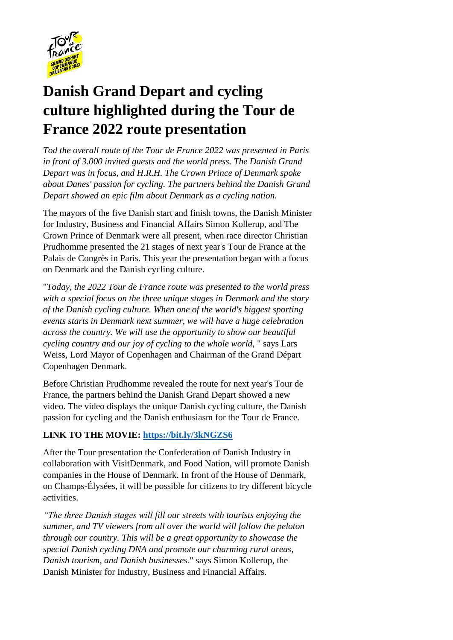

# **Danish Grand Depart and cycling culture highlighted during the Tour de France 2022 route presentation**

*Tod the overall route of the Tour de France 2022 was presented in Paris in front of 3.000 invited guests and the world press. The Danish Grand Depart was in focus, and H.R.H. The Crown Prince of Denmark spoke about Danes' passion for cycling. The partners behind the Danish Grand Depart showed an epic film about Denmark as a cycling nation.*

The mayors of the five Danish start and finish towns, the Danish Minister for Industry, Business and Financial Affairs Simon Kollerup, and The Crown Prince of Denmark were all present, when race director Christian Prudhomme presented the 21 stages of next year's Tour de France at the Palais de Congrès in Paris. This year the presentation began with a focus on Denmark and the Danish cycling culture.

"*Today, the 2022 Tour de France route was presented to the world press with a special focus on the three unique stages in Denmark and the story of the Danish cycling culture. When one of the world's biggest sporting events starts in Denmark next summer, we will have a huge celebration across the country. We will use the opportunity to show our beautiful cycling country and our joy of cycling to the whole world*, " says Lars Weiss, Lord Mayor of Copenhagen and Chairman of the Grand Départ Copenhagen Denmark.

Before Christian Prudhomme revealed the route for next year's Tour de France, the partners behind the Danish Grand Depart showed a new video. The video displays the unique Danish cycling culture, the Danish passion for cycling and the Danish enthusiasm for the Tour de France.

# **LINK TO THE MOVIE:<https://bit.ly/3kNGZS6>**

After the Tour presentation the Confederation of Danish Industry in collaboration with VisitDenmark, and Food Nation, will promote Danish companies in the House of Denmark. In front of the House of Denmark, on Champs-Élysées, it will be possible for citizens to try different bicycle activities.

*"The three Danish stages will fill our streets with tourists enjoying the summer, and TV viewers from all over the world will follow the peloton through our country. This will be a great opportunity to showcase the special Danish cycling DNA and promote our charming rural areas, Danish tourism, and Danish businesses.*" says Simon Kollerup, the Danish Minister for Industry, Business and Financial Affairs.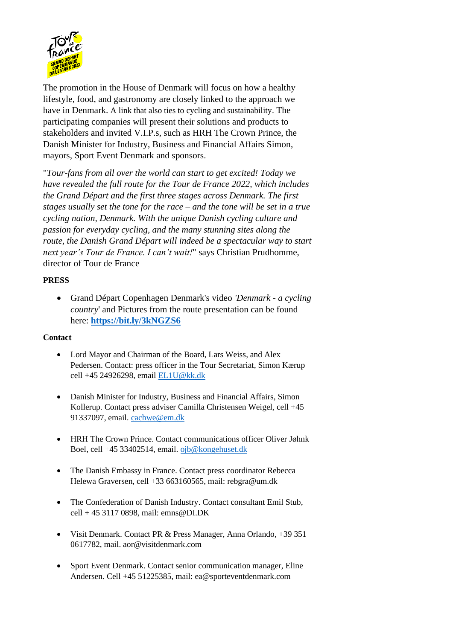

The promotion in the House of Denmark will focus on how a healthy lifestyle, food, and gastronomy are closely linked to the approach we have in Denmark. A link that also ties to cycling and sustainability. The participating companies will present their solutions and products to stakeholders and invited V.I.P.s, such as HRH The Crown Prince, the Danish Minister for Industry, Business and Financial Affairs Simon, mayors, Sport Event Denmark and sponsors.

"*Tour-fans from all over the world can start to get excited! Today we have revealed the full route for the Tour de France 2022, which includes the Grand Départ and the first three stages across Denmark. The first stages usually set the tone for the race – and the tone will be set in a true cycling nation, Denmark. With the unique Danish cycling culture and passion for everyday cycling, and the many stunning sites along the route, the Danish Grand Départ will indeed be a spectacular way to start next year's Tour de France. I can't wait!*" says Christian Prudhomme, director of Tour de France

## **PRESS**

• Grand Départ Copenhagen Denmark's video *'Denmark - a cycling country*' and Pictures from the route presentation can be found here: **<https://bit.ly/3kNGZS6>**

# **Contact**

- Lord Mayor and Chairman of the Board, Lars Weiss, and Alex Pedersen. Contact: press officer in the Tour Secretariat, Simon Kærup cell +45 24926298, email [EL1U@kk.dk](mailto:EL1U@kk.dk)
- Danish Minister for Industry, Business and Financial Affairs, Simon Kollerup. Contact press adviser Camilla Christensen Weigel, cell +45 91337097, email. [cachwe@em.dk](mailto:cachwe@em.dk)
- HRH The Crown Prince. Contact communications officer Oliver Jøhnk Boel, cell +45 33402514, email. [ojb@kongehuset.dk](mailto:ojb@kongehuset.dk)
- The Danish Embassy in France. Contact press coordinator Rebecca Helewa Graversen, cell +33 663160565, mail[: rebgra@um.dk](mailto:rebgra@um.dk)
- The Confederation of Danish Industry. Contact consultant Emil Stub, cell + 45 3117 0898, mail: [emns@DI.DK](mailto:emns@DI.DK)
- Visit Denmark. Contact PR & Press Manager, Anna Orlando, +39 351 0617782, mail. [aor@visitdenmark.com](mailto:aor@visitdenmark.com)
- Sport Event Denmark. Contact senior communication manager, Eline Andersen. Cell +45 51225385, mail: ea@sporteventdenmark.com